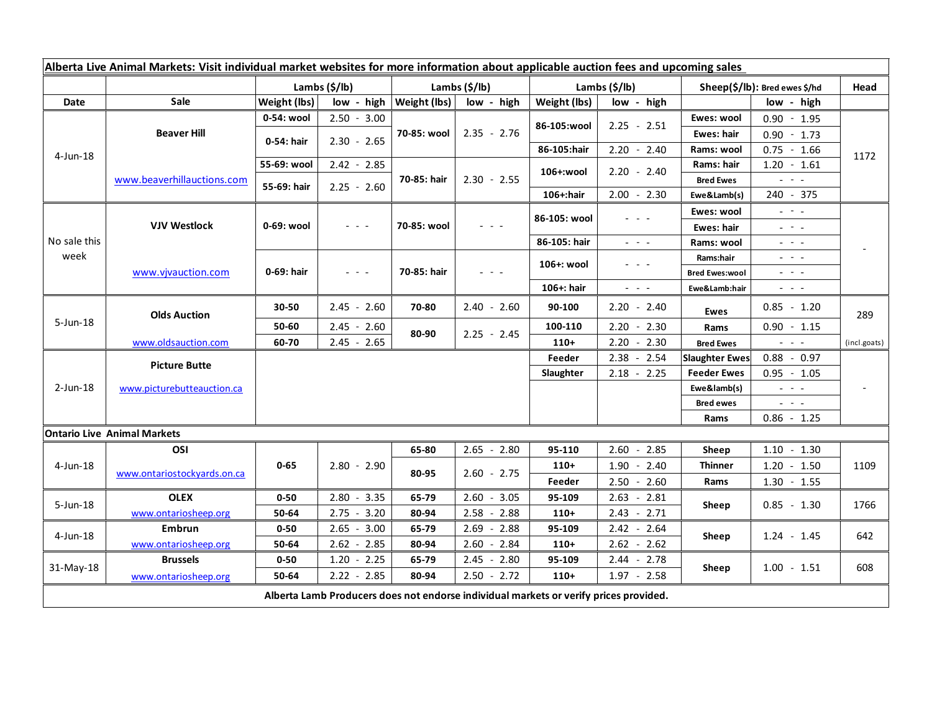| Alberta Live Animal Markets: Visit individual market websites for more information about applicable auction fees and upcoming sales |                             |                           |                                                                                                                           |                |                                            |                           |                                                                                                                           |                                  |                                                                                                                                                                                                                                                                                                                                                                                                                                                |              |
|-------------------------------------------------------------------------------------------------------------------------------------|-----------------------------|---------------------------|---------------------------------------------------------------------------------------------------------------------------|----------------|--------------------------------------------|---------------------------|---------------------------------------------------------------------------------------------------------------------------|----------------------------------|------------------------------------------------------------------------------------------------------------------------------------------------------------------------------------------------------------------------------------------------------------------------------------------------------------------------------------------------------------------------------------------------------------------------------------------------|--------------|
|                                                                                                                                     |                             | Lambs $(\frac{2}{3})$ lb) |                                                                                                                           | Lambs (\$/lb)  |                                            | Lambs $(\frac{2}{3})$ lb) |                                                                                                                           | $Sheep(S/Ib)$ : Bred ewes $$/hd$ |                                                                                                                                                                                                                                                                                                                                                                                                                                                | Head         |
| Date                                                                                                                                | <b>Sale</b>                 | Weight (lbs)              | low - high                                                                                                                | Weight (lbs)   | low - high                                 | Weight (lbs)              | low - high                                                                                                                |                                  | low - high                                                                                                                                                                                                                                                                                                                                                                                                                                     |              |
| 4-Jun-18                                                                                                                            | <b>Beaver Hill</b>          | 0-54: wool                | $2.50 - 3.00$                                                                                                             | 70-85: wool    | $2.35 - 2.76$                              | 86-105:wool               | $2.25 - 2.51$                                                                                                             | Ewes: wool                       | $0.90 - 1.95$                                                                                                                                                                                                                                                                                                                                                                                                                                  | 1172         |
|                                                                                                                                     |                             | 0-54: hair                | $2.30 - 2.65$                                                                                                             |                |                                            |                           |                                                                                                                           | Ewes: hair                       | $0.90 - 1.73$                                                                                                                                                                                                                                                                                                                                                                                                                                  |              |
|                                                                                                                                     |                             |                           |                                                                                                                           |                |                                            | 86-105:hair               | $2.20 - 2.40$                                                                                                             | Rams: wool                       | $0.75 - 1.66$                                                                                                                                                                                                                                                                                                                                                                                                                                  |              |
|                                                                                                                                     | www.beaverhillauctions.com  | 55-69: wool               | $2.42 - 2.85$                                                                                                             | 70-85: hair    | $2.30 - 2.55$                              | 106+:wool                 | $2.20 - 2.40$                                                                                                             | Rams: hair                       | $1.20 - 1.61$                                                                                                                                                                                                                                                                                                                                                                                                                                  |              |
|                                                                                                                                     |                             | 55-69: hair               | $2.25 - 2.60$                                                                                                             |                |                                            |                           |                                                                                                                           | <b>Bred Ewes</b>                 | $\omega_{\rm{c}}$ , $\omega_{\rm{c}}$ , $\omega_{\rm{c}}$                                                                                                                                                                                                                                                                                                                                                                                      |              |
|                                                                                                                                     |                             |                           |                                                                                                                           |                |                                            | 106+:hair                 | $2.00 - 2.30$                                                                                                             | Ewe&Lamb(s)                      | 240 - 375                                                                                                                                                                                                                                                                                                                                                                                                                                      |              |
| No sale this<br>week                                                                                                                | <b>VJV Westlock</b>         | 0-69: wool                | $\frac{1}{2} \left( \frac{1}{2} \right) \left( \frac{1}{2} \right) \left( \frac{1}{2} \right) \left( \frac{1}{2} \right)$ | 70-85: wool    |                                            | 86-105: wool              |                                                                                                                           | Ewes: wool                       | $\mathbb{L}^2 \times \mathbb{L}^2$                                                                                                                                                                                                                                                                                                                                                                                                             |              |
|                                                                                                                                     |                             |                           |                                                                                                                           |                |                                            |                           |                                                                                                                           | <b>Ewes: hair</b>                | $  -$                                                                                                                                                                                                                                                                                                                                                                                                                                          |              |
|                                                                                                                                     |                             |                           |                                                                                                                           |                |                                            | 86-105: hair              | $\frac{1}{2} \left( \frac{1}{2} \right) = \frac{1}{2} \left( \frac{1}{2} \right)$                                         | Rams: wool                       | $  -$                                                                                                                                                                                                                                                                                                                                                                                                                                          |              |
|                                                                                                                                     | www.vivauction.com          | 0-69: hair                | $\omega_{\rm{eff}}$ and $\omega_{\rm{eff}}$                                                                               | 70-85: hair    | $\mathbf{L} = \mathbf{L} \cdot \mathbf{L}$ | 106+: wool                | - - -                                                                                                                     | Rams:hair                        | $\mathbf{L} = \mathbf{L} \cdot \mathbf{L}$                                                                                                                                                                                                                                                                                                                                                                                                     |              |
|                                                                                                                                     |                             |                           |                                                                                                                           |                |                                            |                           |                                                                                                                           | <b>Bred Ewes:wool</b>            | $\frac{1}{2} \left( \frac{1}{2} \right) \frac{1}{2} \left( \frac{1}{2} \right) \frac{1}{2} \left( \frac{1}{2} \right) \frac{1}{2} \left( \frac{1}{2} \right) \frac{1}{2} \left( \frac{1}{2} \right) \frac{1}{2} \left( \frac{1}{2} \right) \frac{1}{2} \left( \frac{1}{2} \right) \frac{1}{2} \left( \frac{1}{2} \right) \frac{1}{2} \left( \frac{1}{2} \right) \frac{1}{2} \left( \frac{1}{2} \right) \frac{1}{2} \left( \frac{1}{2} \right)$ |              |
|                                                                                                                                     |                             |                           |                                                                                                                           |                |                                            | 106+: hair                | $\frac{1}{2} \left( \frac{1}{2} \right) \left( \frac{1}{2} \right) \left( \frac{1}{2} \right) \left( \frac{1}{2} \right)$ | Ewe&Lamb:hair                    | $\sim$ 100 $\sim$                                                                                                                                                                                                                                                                                                                                                                                                                              |              |
| $5 - Jun-18$                                                                                                                        | <b>Olds Auction</b>         | 30-50                     | $2.45 - 2.60$                                                                                                             | 70-80          | $2.40 - 2.60$                              | 90-100                    | $2.20 - 2.40$                                                                                                             | <b>Ewes</b>                      | $0.85 - 1.20$                                                                                                                                                                                                                                                                                                                                                                                                                                  | 289          |
|                                                                                                                                     |                             | 50-60                     | $2.45 - 2.60$                                                                                                             | 80-90          | $2.25 - 2.45$                              | 100-110                   | $2.20 - 2.30$                                                                                                             | Rams                             | $0.90 - 1.15$                                                                                                                                                                                                                                                                                                                                                                                                                                  |              |
|                                                                                                                                     | www.oldsauction.com         | 60-70                     | $2.45 - 2.65$                                                                                                             |                |                                            | $110+$                    | $2.20 - 2.30$                                                                                                             | <b>Bred Ewes</b>                 | $\omega_{\rm{eff}}$ and $\omega_{\rm{eff}}$                                                                                                                                                                                                                                                                                                                                                                                                    | (incl.goats) |
| $2$ -Jun-18                                                                                                                         | <b>Picture Butte</b>        |                           |                                                                                                                           |                |                                            | Feeder                    | $2.38 - 2.54$                                                                                                             | <b>Slaughter Ewes</b>            | $0.88 - 0.97$                                                                                                                                                                                                                                                                                                                                                                                                                                  |              |
|                                                                                                                                     | www.picturebutteauction.ca  |                           |                                                                                                                           |                |                                            | Slaughter                 | $2.18 - 2.25$                                                                                                             | <b>Feeder Ewes</b>               | $0.95 - 1.05$                                                                                                                                                                                                                                                                                                                                                                                                                                  |              |
|                                                                                                                                     |                             |                           |                                                                                                                           |                |                                            |                           |                                                                                                                           | Ewe&lamb(s)                      | $\omega_{\rm{eff}}$ , $\omega_{\rm{eff}}$ , $\omega_{\rm{eff}}$                                                                                                                                                                                                                                                                                                                                                                                |              |
|                                                                                                                                     |                             |                           |                                                                                                                           |                |                                            |                           |                                                                                                                           | <b>Bred ewes</b>                 | $  -$                                                                                                                                                                                                                                                                                                                                                                                                                                          |              |
|                                                                                                                                     |                             |                           |                                                                                                                           |                |                                            |                           |                                                                                                                           | Rams                             | $0.86 - 1.25$                                                                                                                                                                                                                                                                                                                                                                                                                                  |              |
| <b>Ontario Live Animal Markets</b>                                                                                                  |                             |                           |                                                                                                                           |                |                                            |                           |                                                                                                                           |                                  |                                                                                                                                                                                                                                                                                                                                                                                                                                                |              |
| 4-Jun-18                                                                                                                            | OSI                         | $0 - 65$                  | $2.80 - 2.90$                                                                                                             | 65-80<br>80-95 | $2.65 - 2.80$<br>$2.60 - 2.75$             | 95-110                    | 2.60<br>2.85<br>$\sim$                                                                                                    | Sheep                            | $1.10 - 1.30$                                                                                                                                                                                                                                                                                                                                                                                                                                  | 1109         |
|                                                                                                                                     | www.ontariostockyards.on.ca |                           |                                                                                                                           |                |                                            | $110+$                    | $1.90 - 2.40$                                                                                                             | <b>Thinner</b>                   | $1.20 - 1.50$                                                                                                                                                                                                                                                                                                                                                                                                                                  |              |
|                                                                                                                                     |                             |                           |                                                                                                                           |                |                                            | Feeder                    | $2.50 - 2.60$                                                                                                             | Rams                             | $1.30 - 1.55$                                                                                                                                                                                                                                                                                                                                                                                                                                  |              |
| $5 - Jun-18$                                                                                                                        | <b>OLEX</b>                 | $0 - 50$                  | $2.80 - 3.35$                                                                                                             | 65-79          | $2.60 - 3.05$                              | 95-109                    | $2.63 - 2.81$                                                                                                             | Sheep                            | $0.85 - 1.30$                                                                                                                                                                                                                                                                                                                                                                                                                                  | 1766         |
|                                                                                                                                     | www.ontariosheep.org        | 50-64                     | $2.75 - 3.20$                                                                                                             | 80-94          | $2.58 - 2.88$                              | $110+$                    | $2.43 - 2.71$                                                                                                             |                                  |                                                                                                                                                                                                                                                                                                                                                                                                                                                |              |
| $4$ -Jun-18                                                                                                                         | Embrun                      | $0 - 50$                  | $2.65 - 3.00$                                                                                                             | 65-79          | $2.69 - 2.88$                              | 95-109                    | $2.42 - 2.64$                                                                                                             | Sheep                            | $1.24 - 1.45$                                                                                                                                                                                                                                                                                                                                                                                                                                  | 642          |
|                                                                                                                                     | www.ontariosheep.org        | 50-64                     | $2.62 - 2.85$                                                                                                             | 80-94          | 2.60<br>$-2.84$                            | $110+$                    | $2.62 - 2.62$                                                                                                             |                                  |                                                                                                                                                                                                                                                                                                                                                                                                                                                |              |
| $31-May-18$                                                                                                                         | <b>Brussels</b>             | $0 - 50$                  | $1.20 - 2.25$                                                                                                             | 65-79          | $2.45 - 2.80$                              | 95-109                    | $2.44 - 2.78$                                                                                                             | Sheep                            | $1.00 - 1.51$                                                                                                                                                                                                                                                                                                                                                                                                                                  | 608          |
|                                                                                                                                     | www.ontariosheep.org        | 50-64                     | $2.22 - 2.85$                                                                                                             | 80-94          | $2.50 - 2.72$                              | $110+$                    | $1.97 - 2.58$                                                                                                             |                                  |                                                                                                                                                                                                                                                                                                                                                                                                                                                |              |
| Alberta Lamb Producers does not endorse individual markets or verify prices provided.                                               |                             |                           |                                                                                                                           |                |                                            |                           |                                                                                                                           |                                  |                                                                                                                                                                                                                                                                                                                                                                                                                                                |              |